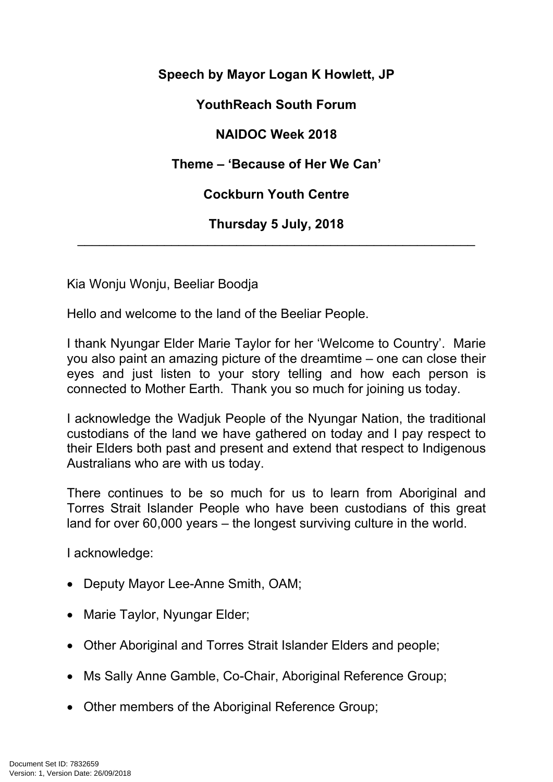**Speech by Mayor Logan K Howlett, JP**

**YouthReach South Forum**

**NAIDOC Week 2018**

**Theme – 'Because of Her We Can'**

**Cockburn Youth Centre**

**Thursday 5 July, 2018** \_\_\_\_\_\_\_\_\_\_\_\_\_\_\_\_\_\_\_\_\_\_\_\_\_\_\_\_\_\_\_\_\_\_\_\_\_\_\_\_\_\_\_\_\_\_\_\_\_\_\_\_\_\_\_

Kia Wonju Wonju, Beeliar Boodja

Hello and welcome to the land of the Beeliar People.

I thank Nyungar Elder Marie Taylor for her 'Welcome to Country'. Marie you also paint an amazing picture of the dreamtime – one can close their eyes and just listen to your story telling and how each person is connected to Mother Earth. Thank you so much for joining us today.

I acknowledge the Wadjuk People of the Nyungar Nation, the traditional custodians of the land we have gathered on today and I pay respect to their Elders both past and present and extend that respect to Indigenous Australians who are with us today.

There continues to be so much for us to learn from Aboriginal and Torres Strait Islander People who have been custodians of this great land for over 60,000 years – the longest surviving culture in the world.

I acknowledge:

- Deputy Mayor Lee-Anne Smith, OAM;
- Marie Taylor, Nyungar Elder;
- Other Aboriginal and Torres Strait Islander Elders and people;
- Ms Sally Anne Gamble, Co-Chair, Aboriginal Reference Group;
- Other members of the Aboriginal Reference Group;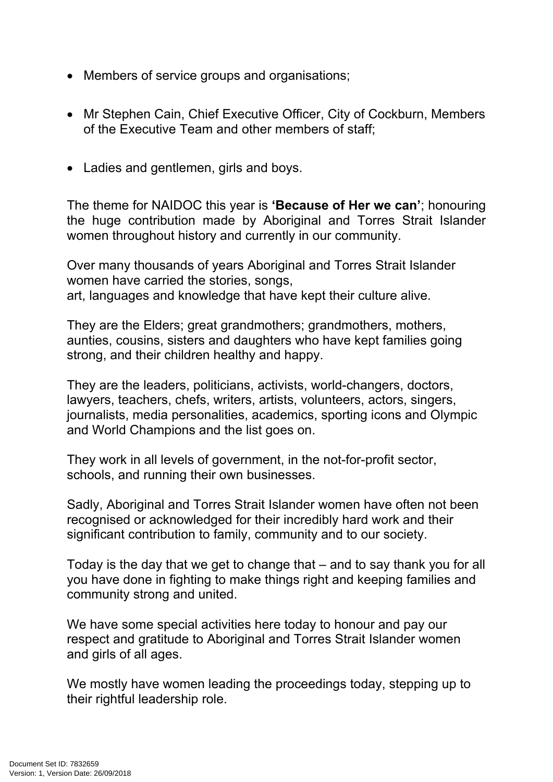- Members of service groups and organisations;
- Mr Stephen Cain, Chief Executive Officer, City of Cockburn, Members of the Executive Team and other members of staff;
- Ladies and gentlemen, girls and boys.

The theme for NAIDOC this year is **'Because of Her we can'**; honouring the huge contribution made by Aboriginal and Torres Strait Islander women throughout history and currently in our community.

Over many thousands of years Aboriginal and Torres Strait Islander women have carried the stories, songs, art, languages and knowledge that have kept their culture alive.

They are the Elders; great grandmothers; grandmothers, mothers, aunties, cousins, sisters and daughters who have kept families going strong, and their children healthy and happy.

They are the leaders, politicians, activists, world-changers, doctors, lawyers, teachers, chefs, writers, artists, volunteers, actors, singers, journalists, media personalities, academics, sporting icons and Olympic and World Champions and the list goes on.

They work in all levels of government, in the not-for-profit sector, schools, and running their own businesses.

Sadly, Aboriginal and Torres Strait Islander women have often not been recognised or acknowledged for their incredibly hard work and their significant contribution to family, community and to our society.

Today is the day that we get to change that – and to say thank you for all you have done in fighting to make things right and keeping families and community strong and united.

We have some special activities here today to honour and pay our respect and gratitude to Aboriginal and Torres Strait Islander women and girls of all ages.

We mostly have women leading the proceedings today, stepping up to their rightful leadership role.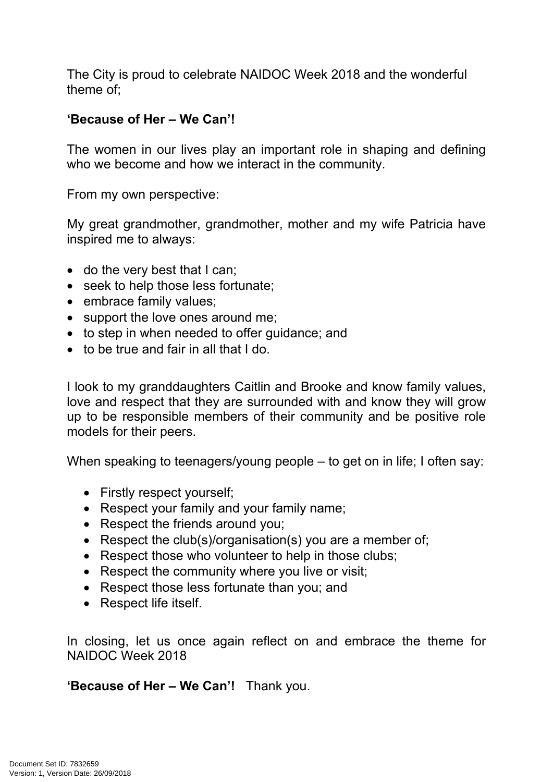The City is proud to celebrate NAIDOC Week 2018 and the wonderful theme of;

## **'Because of Her – We Can'!**

The women in our lives play an important role in shaping and defining who we become and how we interact in the community.

From my own perspective:

My great grandmother, grandmother, mother and my wife Patricia have inspired me to always:

- do the very best that I can;
- seek to help those less fortunate;
- embrace family values;
- support the love ones around me;
- to step in when needed to offer quidance; and
- to be true and fair in all that I do.

I look to my granddaughters Caitlin and Brooke and know family values, love and respect that they are surrounded with and know they will grow up to be responsible members of their community and be positive role models for their peers.

When speaking to teenagers/young people – to get on in life; I often say:

- Firstly respect yourself;
- Respect your family and your family name;
- Respect the friends around you;
- Respect the club(s)/organisation(s) you are a member of;
- Respect those who volunteer to help in those clubs;
- Respect the community where you live or visit;
- Respect those less fortunate than you; and
- Respect life itself.

In closing, let us once again reflect on and embrace the theme for NAIDOC Week 2018

**'Because of Her – We Can'!** Thank you.